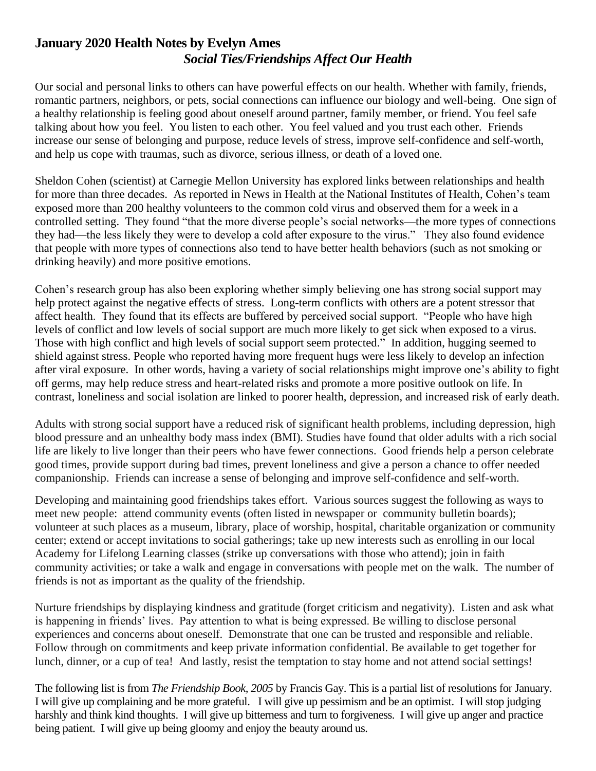## **January 2020 Health Notes by Evelyn Ames** *Social Ties/Friendships Affect Our Health*

Our social and personal links to others can have powerful effects on our health. Whether with family, friends, romantic partners, neighbors, or pets, social connections can influence our biology and well-being. One sign of a healthy relationship is feeling good about oneself around partner, family member, or friend. You feel safe talking about how you feel. You listen to each other. You feel valued and you trust each other. Friends increase our sense of belonging and purpose, reduce levels of stress, improve self-confidence and self-worth, and help us cope with traumas, such as divorce, serious illness, or death of a loved one.

Sheldon Cohen (scientist) at Carnegie Mellon University has explored links between relationships and health for more than three decades. As reported in News in Health at the National Institutes of Health, Cohen's team exposed more than 200 healthy volunteers to the common cold virus and observed them for a week in a controlled setting. They found "that the more diverse people's social networks—the more types of connections they had—the less likely they were to develop a cold after exposure to the virus." They also found evidence that people with more types of connections also tend to have better health behaviors (such as not smoking or drinking heavily) and more positive emotions.

Cohen's research group has also been exploring whether simply believing one has strong social support may help protect against the negative effects of stress. Long-term conflicts with others are a potent stressor that affect health. They found that its effects are buffered by perceived social support. "People who have high levels of conflict and low levels of social support are much more likely to get sick when exposed to a virus. Those with high conflict and high levels of social support seem protected." In addition, hugging seemed to shield against stress. People who reported having more frequent hugs were less likely to develop an infection after viral exposure. In other words, having a variety of social relationships might improve one's ability to fight off germs, may help reduce stress and heart-related risks and promote a more positive outlook on life. In contrast, loneliness and social isolation are linked to poorer health, depression, and increased risk of early death.

Adults with strong social support have a reduced risk of significant health problems, including depression, high blood pressure and an unhealthy body mass index (BMI). Studies have found that older adults with a rich social life are likely to live longer than their peers who have fewer connections. Good friends help a person celebrate good times, provide support during bad times, prevent loneliness and give a person a chance to offer needed companionship. Friends can increase a sense of belonging and improve self-confidence and self-worth.

Developing and maintaining good friendships takes effort. Various sources suggest the following as ways to meet new people: attend community events (often listed in newspaper or community bulletin boards); volunteer at such places as a museum, library, place of worship, hospital, charitable organization or community center; extend or accept invitations to social gatherings; take up new interests such as enrolling in our local Academy for Lifelong Learning classes (strike up conversations with those who attend); join in faith community activities; or take a walk and engage in conversations with people met on the walk. The number of friends is not as important as the quality of the friendship.

Nurture friendships by displaying kindness and gratitude (forget criticism and negativity). Listen and ask what is happening in friends' lives. Pay attention to what is being expressed. Be willing to disclose personal experiences and concerns about oneself. Demonstrate that one can be trusted and responsible and reliable. Follow through on commitments and keep private information confidential. Be available to get together for lunch, dinner, or a cup of tea! And lastly, resist the temptation to stay home and not attend social settings!

The following list is from *The Friendship Book, 2005* by Francis Gay. This is a partial list of resolutions for January. I will give up complaining and be more grateful. I will give up pessimism and be an optimist. I will stop judging harshly and think kind thoughts. I will give up bitterness and turn to forgiveness. I will give up anger and practice being patient. I will give up being gloomy and enjoy the beauty around us.